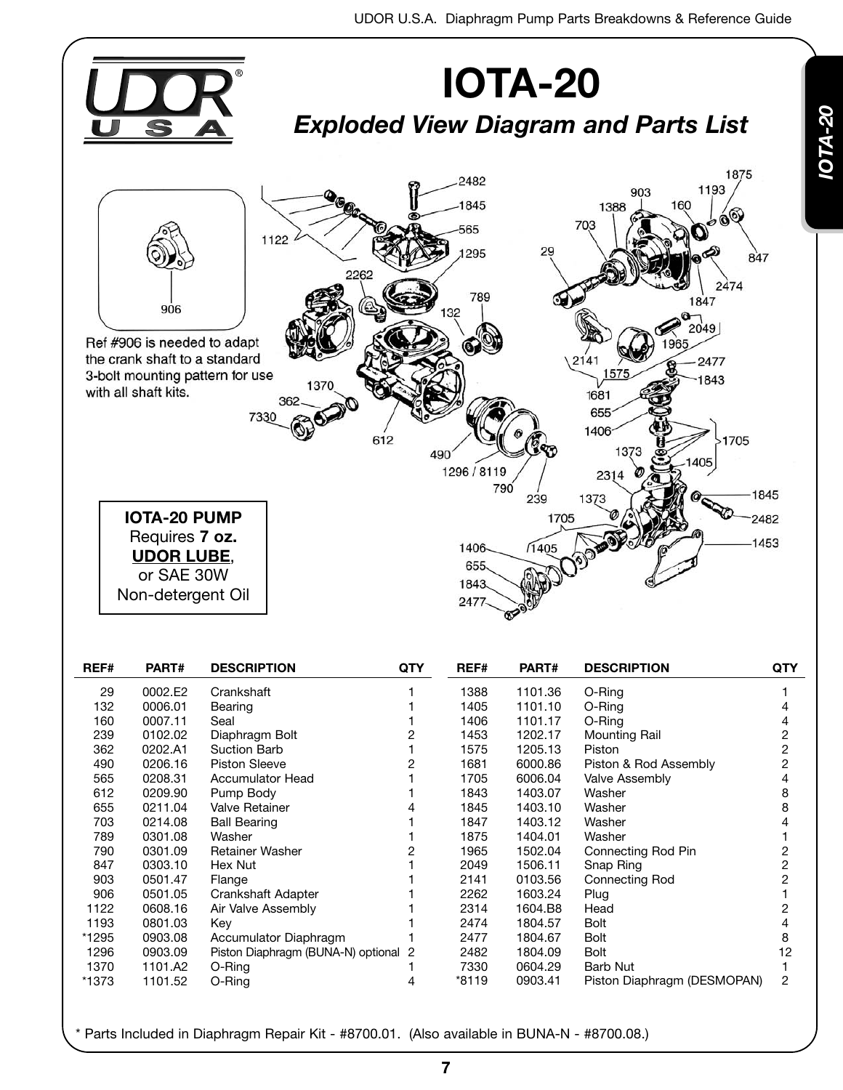

| 29    | 0002.E2 | Crankshaft                           |   | 1388  | 1101.36 | O-Ring                      |    |
|-------|---------|--------------------------------------|---|-------|---------|-----------------------------|----|
| 132   | 0006.01 | Bearing                              |   | 1405  | 1101.10 | O-Ring                      |    |
| 160   | 0007.11 | Seal                                 |   | 1406  | 1101.17 | O-Ring                      |    |
| 239   | 0102.02 | Diaphragm Bolt                       |   | 1453  | 1202.17 | Mounting Rail               |    |
| 362   | 0202.A1 | <b>Suction Barb</b>                  |   | 1575  | 1205.13 | Piston                      |    |
| 490   | 0206.16 | <b>Piston Sleeve</b>                 |   | 1681  | 6000.86 | Piston & Rod Assembly       |    |
| 565   | 0208.31 | <b>Accumulator Head</b>              |   | 1705  | 6006.04 | <b>Valve Assembly</b>       |    |
| 612   | 0209.90 | Pump Body                            |   | 1843  | 1403.07 | Washer                      |    |
| 655   | 0211.04 | Valve Retainer                       |   | 1845  | 1403.10 | Washer                      |    |
| 703   | 0214.08 | <b>Ball Bearing</b>                  |   | 1847  | 1403.12 | Washer                      |    |
| 789   | 0301.08 | Washer                               |   | 1875  | 1404.01 | Washer                      |    |
| 790   | 0301.09 | <b>Retainer Washer</b>               |   | 1965  | 1502.04 | Connecting Rod Pin          |    |
| 847   | 0303.10 | Hex Nut                              |   | 2049  | 1506.11 | Snap Ring                   |    |
| 903   | 0501.47 | Flange                               |   | 2141  | 0103.56 | Connecting Rod              |    |
| 906   | 0501.05 | Crankshaft Adapter                   |   | 2262  | 1603.24 | Plug                        |    |
| 1122  | 0608.16 | Air Valve Assembly                   |   | 2314  | 1604.B8 | Head                        |    |
| 1193  | 0801.03 | Key                                  |   | 2474  | 1804.57 | Bolt                        |    |
| *1295 | 0903.08 | Accumulator Diaphragm                |   | 2477  | 1804.67 | Bolt                        |    |
| 1296  | 0903.09 | Piston Diaphragm (BUNA-N) optional 2 |   | 2482  | 1804.09 | Bolt                        | 12 |
| 1370  | 1101.A2 | O-Ring                               |   | 7330  | 0604.29 | Barb Nut                    |    |
| *1373 | 1101.52 | O-Ring                               | 4 | *8119 | 0903.41 | Piston Diaphragm (DESMOPAN) | 2  |
|       |         |                                      |   |       |         |                             |    |

*IO*

*TA - 20*

\* Parts Included in Diaphragm Repair Kit - #8700.01. (Also available in BUNA-N - #8700.08.)